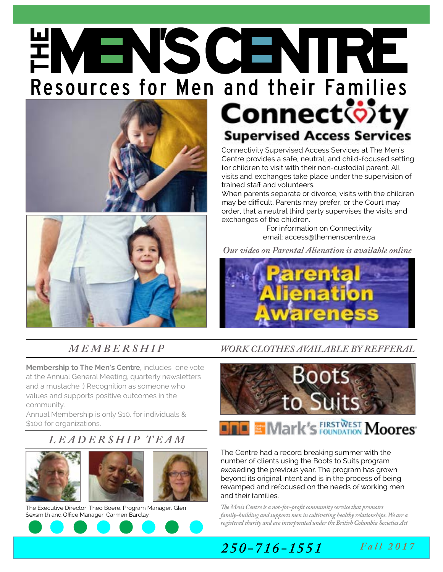# **EMEN'S CENTRE**<br>Resources for Men and their Families<br>Connect of ty





### **Supervised Access Services**

Connectivity Supervised Access Services at The Men's Centre provides a safe, neutral, and child-focused setting for children to visit with their non-custodial parent. All visits and exchanges take place under the supervision of trained staff and volunteers.

When parents separate or divorce, visits with the children may be difficult. Parents may prefer, or the Court may order, that a neutral third party supervises the visits and exchanges of the children.

For information on Connectivity email: access@themenscentre.ca

*[Our video on Parental Alienation is available online](https://www.youtube.com/watch?v=cYV8GBrJv9k)* 



**Membership to The Men's Centre***,* includes one vote at the Annual General Meeting, quarterly newsletters and a mustache :) Recognition as someone who values and supports positive outcomes in the community.

Annual Membership is only \$10. for individuals & \$100 for organizations.

#### *LEADERSHIP TEAM*



The Executive Director, Theo Boere, Program Manager, Glen Sexsmith and Office Manager, Carmen Barclay.



#### *M E M B E R S H I P [WORK CLOTHES AVAILABLE BY REFFERAL](https://spark.adobe.com/video/5woBsJWPy7vTw)*



#### **DE Mark's FIRSTWEST Moores**

The Centre had a record breaking summer with the number of clients using the Boots to Suits program exceeding the previous year. The program has grown beyond its original intent and is in the process of being revamped and refocused on the needs of working men and their families.

*The Men's Centre is a not-for-profit community service that promotes family-building and supports men in cultivating healthy relationships. We are a registered charity and are incorporated under the British Columbia Societies Act*

#### *250-716-1551*

*Fall 2017*